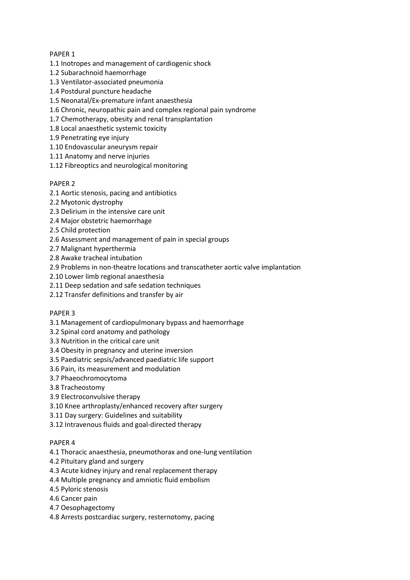# PAPER 1

- 1.1 Inotropes and management of cardiogenic shock
- 1.2 Subarachnoid haemorrhage
- 1.3 Ventilator-associated pneumonia
- 1.4 Postdural puncture headache
- 1.5 Neonatal/Ex-premature infant anaesthesia
- 1.6 Chronic, neuropathic pain and complex regional pain syndrome
- 1.7 Chemotherapy, obesity and renal transplantation
- 1.8 Local anaesthetic systemic toxicity
- 1.9 Penetrating eye injury
- 1.10 Endovascular aneurysm repair
- 1.11 Anatomy and nerve injuries
- 1.12 Fibreoptics and neurological monitoring

# PAPER 2

- 2.1 Aortic stenosis, pacing and antibiotics
- 2.2 Myotonic dystrophy
- 2.3 Delirium in the intensive care unit
- 2.4 Major obstetric haemorrhage
- 2.5 Child protection
- 2.6 Assessment and management of pain in special groups
- 2.7 Malignant hyperthermia
- 2.8 Awake tracheal intubation
- 2.9 Problems in non-theatre locations and transcatheter aortic valve implantation
- 2.10 Lower limb regional anaesthesia
- 2.11 Deep sedation and safe sedation techniques
- 2.12 Transfer definitions and transfer by air

# PAPER 3

- 3.1 Management of cardiopulmonary bypass and haemorrhage
- 3.2 Spinal cord anatomy and pathology
- 3.3 Nutrition in the critical care unit
- 3.4 Obesity in pregnancy and uterine inversion
- 3.5 Paediatric sepsis/advanced paediatric life support
- 3.6 Pain, its measurement and modulation
- 3.7 Phaeochromocytoma
- 3.8 Tracheostomy
- 3.9 Electroconvulsive therapy
- 3.10 Knee arthroplasty/enhanced recovery after surgery
- 3.11 Day surgery: Guidelines and suitability
- 3.12 Intravenous fluids and goal-directed therapy

# PAPER 4

- 4.1 Thoracic anaesthesia, pneumothorax and one-lung ventilation
- 4.2 Pituitary gland and surgery
- 4.3 Acute kidney injury and renal replacement therapy
- 4.4 Multiple pregnancy and amniotic fluid embolism
- 4.5 Pyloric stenosis
- 4.6 Cancer pain
- 4.7 Oesophagectomy
- 4.8 Arrests postcardiac surgery, resternotomy, pacing